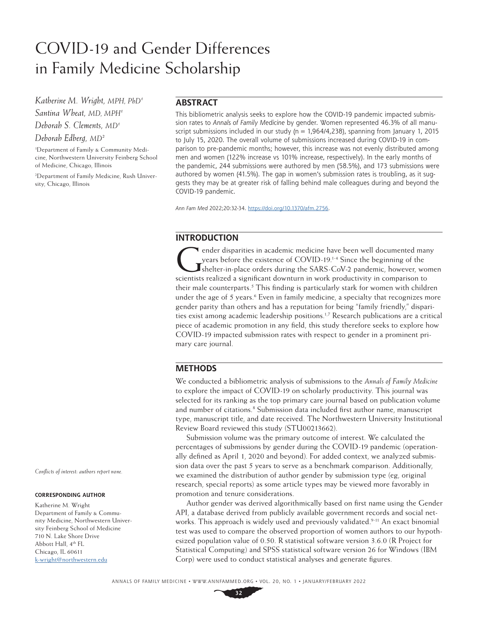# COVID-19 and Gender Differences in Family Medicine Scholarship

*Katherine M. Wright, MPH, PhD1*

*Santina Wheat, MD, MPH1*

*Deborah S. Clements, MD1*

### *Deborah Edberg, MD2*

1 Department of Family & Community Medicine, Northwestern University Feinberg School of Medicine, Chicago, Illinois

2 Department of Family Medicine, Rush University, Chicago, Illinois

# **ABSTRACT**

This bibliometric analysis seeks to explore how the COVID-19 pandemic impacted submission rates to *Annals of Family Medicine* by gender. Women represented 46.3% of all manuscript submissions included in our study ( $n=1,964/4,238$ ), spanning from January 1, 2015 to July 15, 2020. The overall volume of submissions increased during COVID-19 in comparison to pre-pandemic months; however, this increase was not evenly distributed among men and women (122% increase vs 101% increase, respectively). In the early months of the pandemic, 244 submissions were authored by men (58.5%), and 173 submissions were authored by women (41.5%). The gap in women's submission rates is troubling, as it suggests they may be at greater risk of falling behind male colleagues during and beyond the COVID-19 pandemic.

*Ann Fam Med* 2022;20:32-34. [https://doi.org/10.1370/afm.2756.](https://doi.org/10.1370/afm.2756)

## **INTRODUCTION**

Gender disparities in academic medicine have been well documented many<br>
years before the existence of COVID-19.<sup>1-4</sup> Since the beginning of the<br>
shelter-in-place orders during the SARS-CoV-2 pandemic, however, women years before the existence of COVID-19.1-4 Since the beginning of the scientists realized a significant downturn in work productivity in comparison to their male counterparts.<sup>5</sup> This finding is particularly stark for women with children under the age of 5 years.<sup>6</sup> Even in family medicine, a specialty that recognizes more gender parity than others and has a reputation for being "family friendly," disparities exist among academic leadership positions.<sup>1,7</sup> Research publications are a critical piece of academic promotion in any field, this study therefore seeks to explore how COVID-19 impacted submission rates with respect to gender in a prominent primary care journal.

## **METHODS**

We conducted a bibliometric analysis of submissions to the *Annals of Family Medicine* to explore the impact of COVID-19 on scholarly productivity. This journal was selected for its ranking as the top primary care journal based on publication volume and number of citations.<sup>8</sup> Submission data included first author name, manuscript type, manuscript title, and date received. The Northwestern University Institutional Review Board reviewed this study (STU00213662).

Submission volume was the primary outcome of interest. We calculated the percentages of submissions by gender during the COVID-19 pandemic (operationally defined as April 1, 2020 and beyond). For added context, we analyzed submission data over the past 5 years to serve as a benchmark comparison. Additionally, we examined the distribution of author gender by submission type (eg, original research, special reports) as some article types may be viewed more favorably in promotion and tenure considerations.

Author gender was derived algorithmically based on first name using the Gender API, a database derived from publicly available government records and social networks. This approach is widely used and previously validated.<sup>9-11</sup> An exact binomial test was used to compare the observed proportion of women authors to our hypothesized population value of 0.50. R statistical software version 3.6.0 (R Project for Statistical Computing) and SPSS statistical software version 26 for Windows (IBM Corp) were used to conduct statistical analyses and generate figures.

*Conflicts of interest: authors report none.*

#### **CORRESPONDING AUTHOR**

Katherine M. Wright Department of Family & Community Medicine, Northwestern University Feinberg School of Medicine 710 N. Lake Shore Drive Abbott Hall, 4<sup>th</sup> FL Chicago, IL 60611 [k-wright@northwestern.edu](mailto:k-wright%40northwestern.edu?subject=)

**32**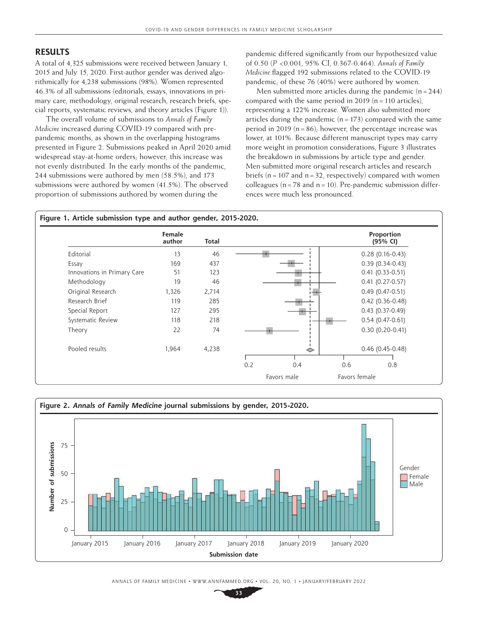## **RESULTS**

A total of 4,325 submissions were received between January 1, 2015 and July 15, 2020. First-author gender was derived algorithmically for 4,238 submissions (98%). Women represented 46.3% of all submissions (editorials, essays, innovations in primary care, methodology, original research, research briefs, special reports, systematic reviews, and theory articles (Figure 1)).

The overall volume of submissions to *Annals of Family Medicine* increased during COVID-19 compared with prepandemic months, as shown in the overlapping histograms presented in Figure 2. Submissions peaked in April 2020 amid widespread stay-at-home orders; however, this increase was not evenly distributed. In the early months of the pandemic, 244 submissions were authored by men (58.5%), and 173 submissions were authored by women (41.5%). The observed proportion of submissions authored by women during the

pandemic differed significantly from our hypothesized value of 0.50 (*P* <0.001, 95% CI, 0.367-0.464). *Annals of Family Medicine* flagged 192 submissions related to the COVID-19 pandemic; of these 76 (40%) were authored by women.

Men submitted more articles during the pandemic  $(n=244)$ compared with the same period in  $2019$  (n = 110 articles), representing a 122% increase. Women also submitted more articles during the pandemic  $(n=173)$  compared with the same period in 2019 ( $n = 86$ ); however, the percentage increase was lower, at 101%. Because different manuscript types may carry more weight in promotion considerations, Figure 3 illustrates the breakdown in submissions by article type and gender. Men submitted more original research articles and research briefs ( $n=107$  and  $n=32$ , respectively) compared with women colleagues ( $n=78$  and  $n=10$ ). Pre-pandemic submission differences were much less pronounced.





ANNALS OF FAMILY MEDICINE ✦ WWW.ANNFAMMED.ORG ✦ VOL. 20, NO. 1 ✦ JANUARY/FEBRUARY 2022

**33**